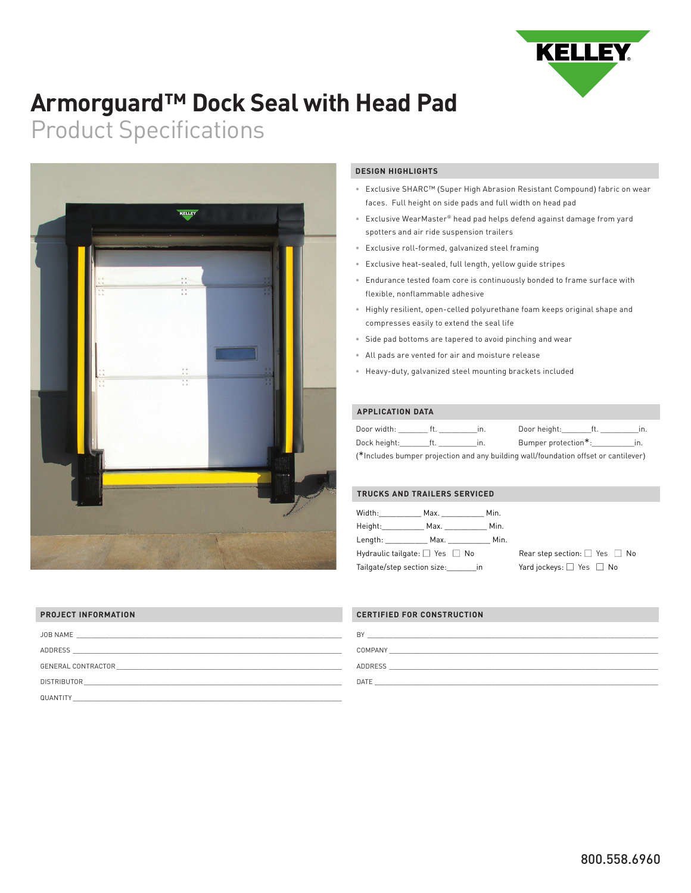

# **Armorguard™ Dock Seal with Head Pad**

# Product Specifications



### **DESIGN HIGHLIGHTS**

- Exclusive SHARC™ (Super High Abrasion Resistant Compound) fabric on wear faces. Full height on side pads and full width on head pad
- Exclusive WearMaster® head pad helps defend against damage from yard spotters and air ride suspension trailers
- Exclusive roll-formed, galvanized steel framing
- Exclusive heat-sealed, full length, yellow guide stripes
- Endurance tested foam core is continuously bonded to frame surface with flexible, nonflammable adhesive
- Highly resilient, open-celled polyurethane foam keeps original shape and compresses easily to extend the seal life
- Side pad bottoms are tapered to avoid pinching and wear
- All pads are vented for air and moisture release
- Heavy-duty, galvanized steel mounting brackets included

### **APPLICATION DATA**

| Door width:                                                                         |  |     | Door height:        |  |     |  |
|-------------------------------------------------------------------------------------|--|-----|---------------------|--|-----|--|
| Dock height:                                                                        |  | In. | Bumper protection*: |  | In. |  |
| (*Includes bumper projection and any building wall/foundation offset or cantilever) |  |     |                     |  |     |  |

#### **TRUCKS AND TRAILERS SERVICED**

| Width:                                   | Max. And a structure of the structure of the structure of the structure of the structure of the structure of the structure of the structure of the structure of the structure of the structure of the structure of the structu | Min. |                                         |
|------------------------------------------|--------------------------------------------------------------------------------------------------------------------------------------------------------------------------------------------------------------------------------|------|-----------------------------------------|
| Height: <b>New York</b>                  | Max. And the Maximum of the Maximum of the Second State of the Second State of the Second State and State of the S                                                                                                             | Min. |                                         |
| Length:                                  | Max. In the Maximum of the Maximum of the Second State of the Second State of the Second State of the Second State of the Second State of the Second State of the Second State of the Second State of the Second State of the  | Min. |                                         |
| Hydraulic tailgate: $\Box$ Yes $\Box$ No |                                                                                                                                                                                                                                |      | Rear step section: $\Box$ Yes $\Box$ No |
| Tailgate/step section size: in           |                                                                                                                                                                                                                                |      | Yard jockeys: $\Box$ Yes $\Box$ No      |

| <b>PROJECT INFORMATION</b>                                                                                                                |
|-------------------------------------------------------------------------------------------------------------------------------------------|
|                                                                                                                                           |
|                                                                                                                                           |
|                                                                                                                                           |
| <b>DISTRIBUTOR</b><br><u> 1980 - Jan Barbara, martin da basar da basar da basar da basar da basar da basar da basar da basar da basar</u> |
| QUANTITY                                                                                                                                  |

## **CERTIFIED FOR CONSTRUCTION**

| B'      |  |  |  |
|---------|--|--|--|
| COMPANY |  |  |  |
| ADDRESS |  |  |  |
| DATE    |  |  |  |